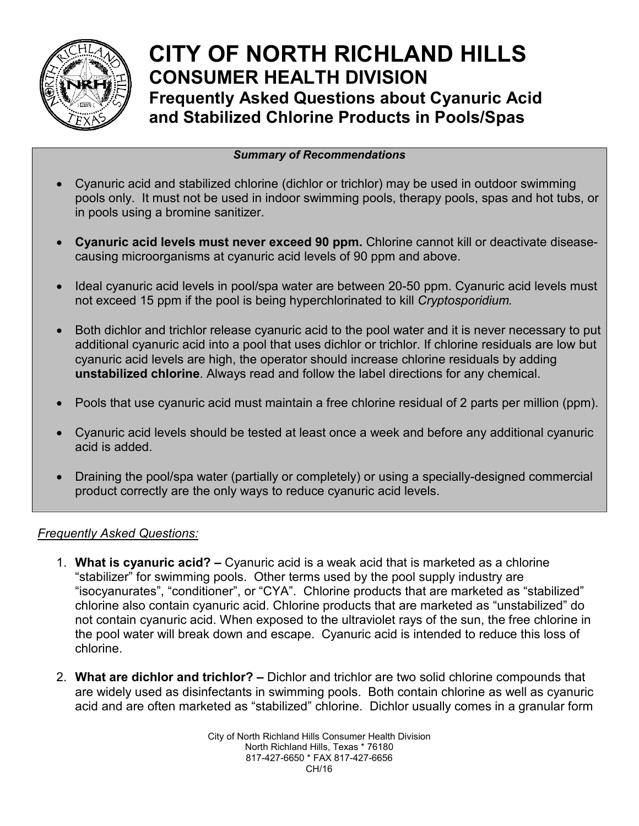

## **CITY OF NORTH RICHLAND HILLS CONSUMER HEALTH DIVISION Frequently Asked Questions about Cyanuric Acid and Stabilized Chlorine Products in Pools/Spas**

## *Summary of Recommendations*

- Cyanuric acid and stabilized chlorine (dichlor or trichlor) may be used in outdoor swimming pools only. It must not be used in indoor swimming pools, therapy pools, spas and hot tubs, or in pools using a bromine sanitizer.
- **Cyanuric acid levels must never exceed 90 ppm.** Chlorine cannot kill or deactivate diseasecausing microorganisms at cyanuric acid levels of 90 ppm and above.
- Ideal cyanuric acid levels in pool/spa water are between 20-50 ppm. Cyanuric acid levels must not exceed 15 ppm if the pool is being hyperchlorinated to kill *Cryptosporidium.*
- Both dichlor and trichlor release cyanuric acid to the pool water and it is never necessary to put additional cyanuric acid into a pool that uses dichlor or trichlor. If chlorine residuals are low but cyanuric acid levels are high, the operator should increase chlorine residuals by adding **unstabilized chlorine**. Always read and follow the label directions for any chemical.
- Pools that use cyanuric acid must maintain a free chlorine residual of 2 parts per million (ppm).
- Cyanuric acid levels should be tested at least once a week and before any additional cyanuric acid is added.
- Draining the pool/spa water (partially or completely) or using a specially-designed commercial product correctly are the only ways to reduce cyanuric acid levels.

## *Frequently Asked Questions:*

- 1. **What is cyanuric acid? –** Cyanuric acid is a weak acid that is marketed as a chlorine "stabilizer" for swimming pools. Other terms used by the pool supply industry are "isocyanurates", "conditioner", or "CYA". Chlorine products that are marketed as "stabilized" chlorine also contain cyanuric acid. Chlorine products that are marketed as "unstabilized" do not contain cyanuric acid. When exposed to the ultraviolet rays of the sun, the free chlorine in the pool water will break down and escape. Cyanuric acid is intended to reduce this loss of chlorine.
- 2. **What are dichlor and trichlor? –** Dichlor and trichlor are two solid chlorine compounds that are widely used as disinfectants in swimming pools. Both contain chlorine as well as cyanuric acid and are often marketed as "stabilized" chlorine. Dichlor usually comes in a granular form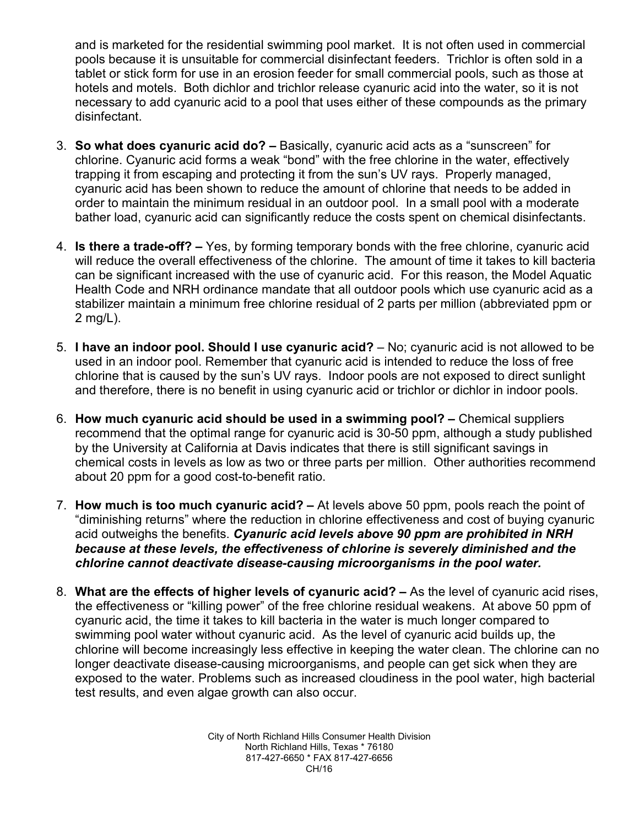and is marketed for the residential swimming pool market. It is not often used in commercial pools because it is unsuitable for commercial disinfectant feeders. Trichlor is often sold in a tablet or stick form for use in an erosion feeder for small commercial pools, such as those at hotels and motels. Both dichlor and trichlor release cyanuric acid into the water, so it is not necessary to add cyanuric acid to a pool that uses either of these compounds as the primary disinfectant.

- 3. **So what does cyanuric acid do? –** Basically, cyanuric acid acts as a "sunscreen" for chlorine. Cyanuric acid forms a weak "bond" with the free chlorine in the water, effectively trapping it from escaping and protecting it from the sun's UV rays. Properly managed, cyanuric acid has been shown to reduce the amount of chlorine that needs to be added in order to maintain the minimum residual in an outdoor pool. In a small pool with a moderate bather load, cyanuric acid can significantly reduce the costs spent on chemical disinfectants.
- 4. **Is there a trade-off? –** Yes, by forming temporary bonds with the free chlorine, cyanuric acid will reduce the overall effectiveness of the chlorine. The amount of time it takes to kill bacteria can be significant increased with the use of cyanuric acid. For this reason, the Model Aquatic Health Code and NRH ordinance mandate that all outdoor pools which use cyanuric acid as a stabilizer maintain a minimum free chlorine residual of 2 parts per million (abbreviated ppm or 2 mg/L).
- 5. **I have an indoor pool. Should I use cyanuric acid?**  No; cyanuric acid is not allowed to be used in an indoor pool. Remember that cyanuric acid is intended to reduce the loss of free chlorine that is caused by the sun's UV rays. Indoor pools are not exposed to direct sunlight and therefore, there is no benefit in using cyanuric acid or trichlor or dichlor in indoor pools.
- 6. **How much cyanuric acid should be used in a swimming pool? –** Chemical suppliers recommend that the optimal range for cyanuric acid is 30-50 ppm, although a study published by the University at California at Davis indicates that there is still significant savings in chemical costs in levels as low as two or three parts per million. Other authorities recommend about 20 ppm for a good cost-to-benefit ratio.
- 7. **How much is too much cyanuric acid? –** At levels above 50 ppm, pools reach the point of "diminishing returns" where the reduction in chlorine effectiveness and cost of buying cyanuric acid outweighs the benefits. *Cyanuric acid levels above 90 ppm are prohibited in NRH because at these levels, the effectiveness of chlorine is severely diminished and the chlorine cannot deactivate disease-causing microorganisms in the pool water.*
- 8. **What are the effects of higher levels of cyanuric acid? –** As the level of cyanuric acid rises, the effectiveness or "killing power" of the free chlorine residual weakens. At above 50 ppm of cyanuric acid, the time it takes to kill bacteria in the water is much longer compared to swimming pool water without cyanuric acid. As the level of cyanuric acid builds up, the chlorine will become increasingly less effective in keeping the water clean. The chlorine can no longer deactivate disease-causing microorganisms, and people can get sick when they are exposed to the water. Problems such as increased cloudiness in the pool water, high bacterial test results, and even algae growth can also occur.